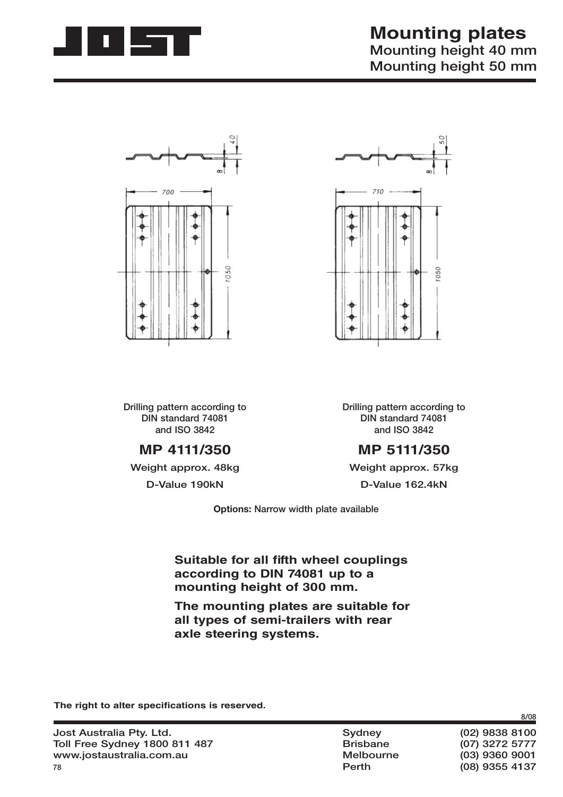





**Drilling pattern according to DIN standard 74081 and ISO 3842**

## **MP 4111/350**

**Weight approx. 48kg**

**D-Value 190kN**

**Drilling pattern according to DIN standard 74081 and ISO 3842**

## **MP 5111/350**

**Weight approx. 57kg D-Value 162.4kN**

**Options: Narrow width plate available**

### **Suitable for all fifth wheel couplings according to DIN 74081 up to a mounting height of 300 mm.**

**The mounting plates are suitable for all types of semi-trailers with rear axle steering systems.**

The right to alter specifications is reserved.

 **Perth (08) 9355 4137**

**8/08**